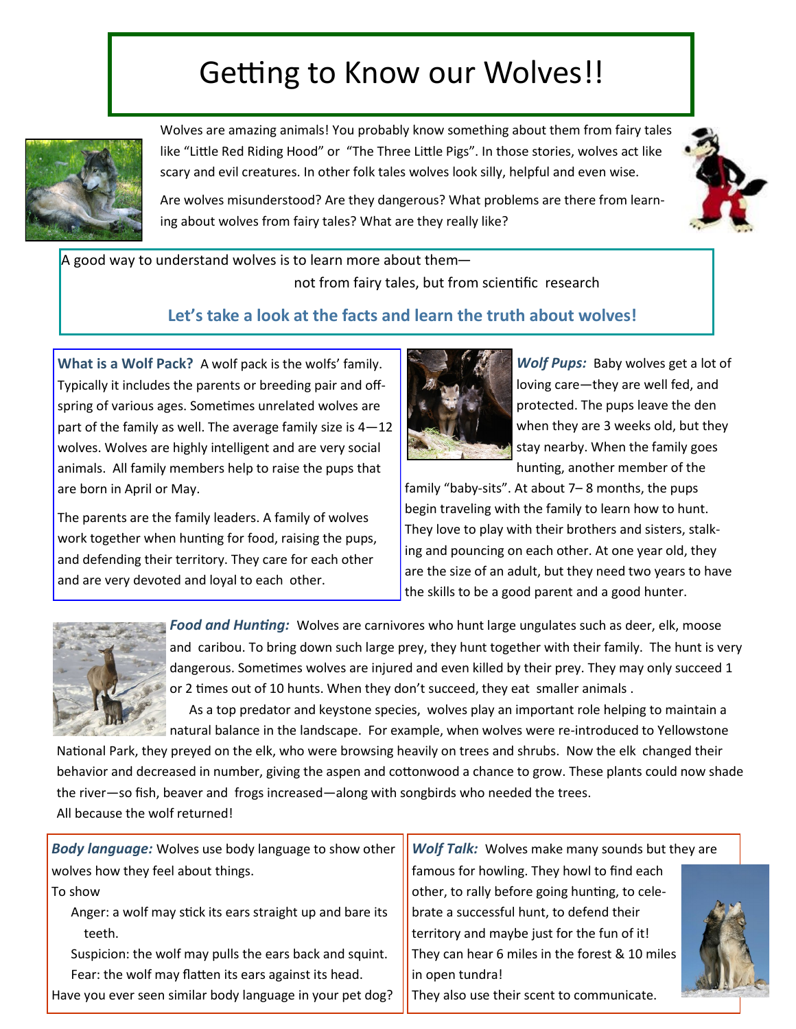## Getting to Know our Wolves!!



Wolves are amazing animals! You probably know something about them from fairy tales like "Little Red Riding Hood" or "The Three Little Pigs". In those stories, wolves act like scary and evil creatures. In other folk tales wolves look silly, helpful and even wise.

Are wolves misunderstood? Are they dangerous? What problems are there from learning about wolves from fairy tales? What are they really like?



A good way to understand wolves is to learn more about themnot from fairy tales, but from scientific research

## **Let's take a look at the facts and learn the truth about wolves!**

**What is a Wolf Pack?** A wolf pack is the wolfs' family. Typically it includes the parents or breeding pair and offspring of various ages. Sometimes unrelated wolves are part of the family as well. The average family size is 4—12 wolves. Wolves are highly intelligent and are very social animals. All family members help to raise the pups that are born in April or May.

The parents are the family leaders. A family of wolves work together when hunting for food, raising the pups, and defending their territory. They care for each other and are very devoted and loyal to each other.



*Wolf Pups:* Baby wolves get a lot of loving care—they are well fed, and protected. The pups leave the den when they are 3 weeks old, but they stay nearby. When the family goes hunting, another member of the

family "baby-sits". At about 7– 8 months, the pups begin traveling with the family to learn how to hunt. They love to play with their brothers and sisters, stalking and pouncing on each other. At one year old, they are the size of an adult, but they need two years to have the skills to be a good parent and a good hunter.



*Food and Hunting:* Wolves are carnivores who hunt large ungulates such as deer, elk, moose and caribou. To bring down such large prey, they hunt together with their family. The hunt is very dangerous. Sometimes wolves are injured and even killed by their prey. They may only succeed 1 or 2 times out of 10 hunts. When they don't succeed, they eat smaller animals .

 As a top predator and keystone species, wolves play an important role helping to maintain a natural balance in the landscape. For example, when wolves were re-introduced to Yellowstone

National Park, they preyed on the elk, who were browsing heavily on trees and shrubs. Now the elk changed their behavior and decreased in number, giving the aspen and cottonwood a chance to grow. These plants could now shade the river—so fish, beaver and frogs increased—along with songbirds who needed the trees. All because the wolf returned!

| <b>Body language:</b> Wolves use body language to show other | Wolf Talk: Wolves make many sounds but they are |  |
|--------------------------------------------------------------|-------------------------------------------------|--|
| wolves how they feel about things.                           | famous for howling. They howl to find each      |  |
| To show                                                      | other, to rally before going hunting, to cele-  |  |
| Anger: a wolf may stick its ears straight up and bare its    | brate a successful hunt, to defend their        |  |
| teeth.                                                       | territory and maybe just for the fun of it!     |  |
| Suspicion: the wolf may pulls the ears back and squint.      | They can hear 6 miles in the forest & 10 miles  |  |
| Fear: the wolf may flatten its ears against its head.        | in open tundra!                                 |  |
| Have you ever seen similar body language in your pet dog?    | They also use their scent to communicate.       |  |
|                                                              |                                                 |  |